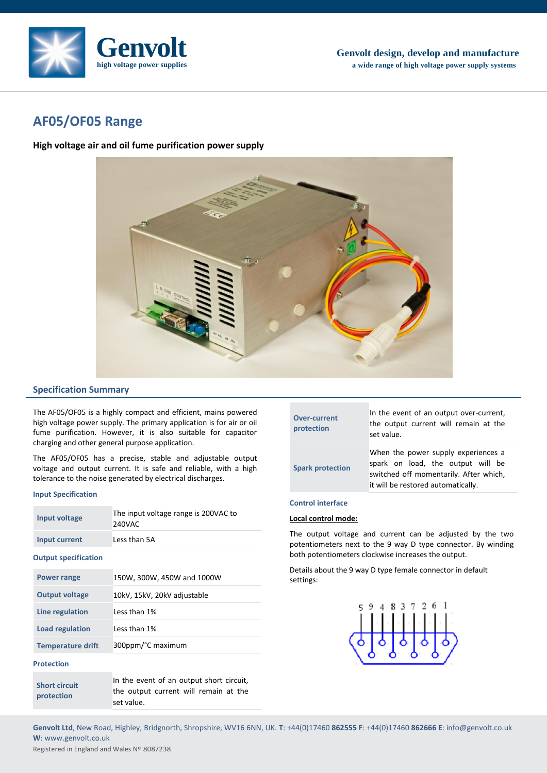

# **AF05/OF05 Range**

**High voltage air and oil fume purification power supply**



# **Specification Summary**

The AF05/OF05 is a highly compact and efficient, mains powered high voltage power supply. The primary application is for air or oil fume purification. However, it is also suitable for capacitor charging and other general purpose application.

The AF05/OF05 has a precise, stable and adjustable output voltage and output current. It is safe and reliable, with a high tolerance to the noise generated by electrical discharges.

### **Input Specification**

| Input voltage               | The input voltage range is 200VAC to<br>240VAC |
|-----------------------------|------------------------------------------------|
| <b>Input current</b>        | Less than 5A                                   |
| <b>Output specification</b> |                                                |
| <b>Power range</b>          | 150W, 300W, 450W and 1000W                     |
| <b>Output voltage</b>       | 10kV, 15kV, 20kV adjustable                    |
| Line regulation             | Less than 1%                                   |
| <b>Load regulation</b>      | Less than 1%                                   |
| <b>Temperature drift</b>    | 300ppm/°C maximum                              |
| <b>Protection</b>           |                                                |

| <b>Short circuit</b> | In the event of an output short circuit, |
|----------------------|------------------------------------------|
| protection           | the output current will remain at the    |
|                      | set value.                               |

| <b>Over-current</b><br>protection | In the event of an output over-current,<br>the output current will remain at the<br>set value.                                                           |  |  |
|-----------------------------------|----------------------------------------------------------------------------------------------------------------------------------------------------------|--|--|
| <b>Spark protection</b>           | When the power supply experiences a<br>spark on load, the output will be<br>switched off momentarily. After which,<br>it will be restored automatically. |  |  |

# **Control interface**

# **Local control mode:**

The output voltage and current can be adjusted by the two potentiometers next to the 9 way D type connector. By winding both potentiometers clockwise increases the output.

Details about the 9 way D type female connector in default settings:



**Genvolt Ltd**, New Road, Highley, Bridgnorth, Shropshire, WV16 6NN, UK. **T**: +44(0)17460 **862555 F**: +44(0)17460 **862666 E**: info@genvolt.co.uk **W**: www.genvolt.co.uk